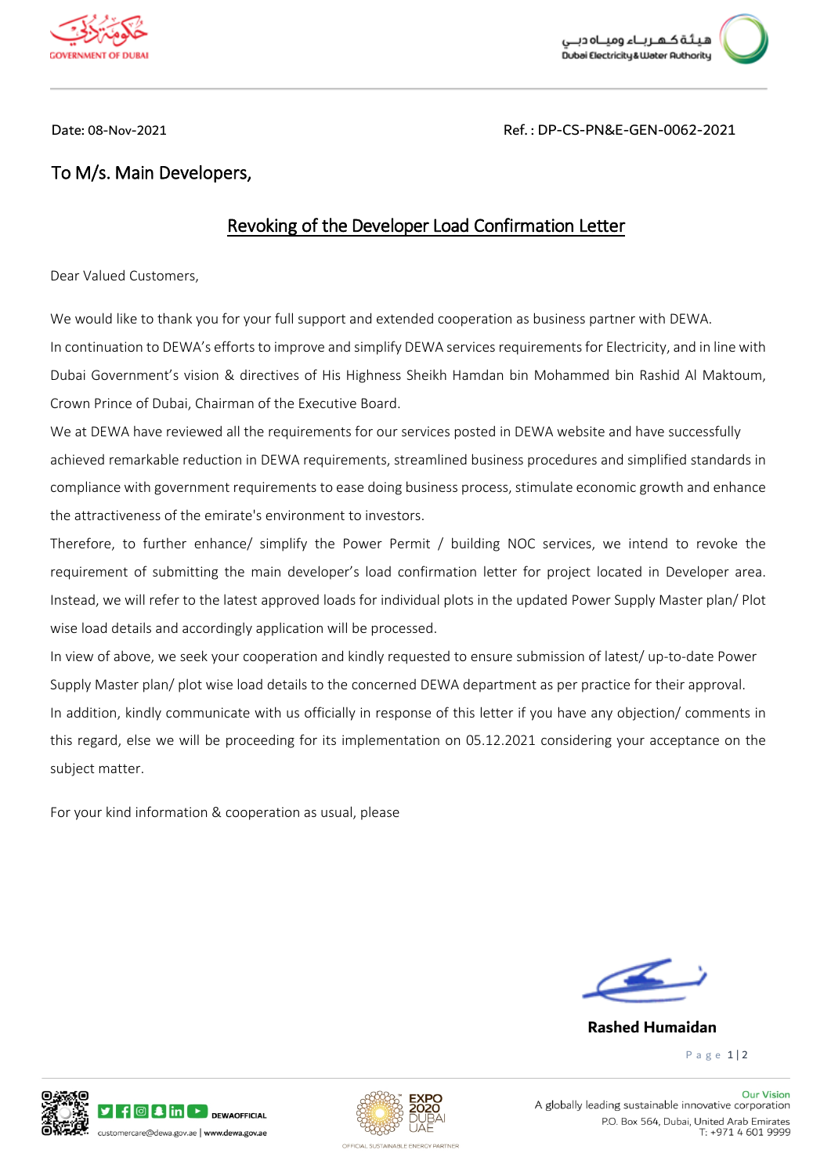

بـتُـة كـهـر بــاء وميــاه دبـ .<br>Dubai Electricity&Water Authority

Date: 08-Nov-2021 Ref. : DP-CS-PN&E-GEN-0062-2021

## **To M/s. Main Developers,**

## **Revoking of the Developer Load Confirmation Letter**

Dear Valued Customers,

 In continuation to DEWA's efforts to improve and simplify DEWA services requirements for Electricity, and in line with We would like to thank you for your full support and extended cooperation as business partner with DEWA. Dubai Government's vision & directives of His Highness Sheikh Hamdan bin Mohammed bin Rashid Al Maktoum, Crown Prince of Dubai, Chairman of the Executive Board.

 achieved remarkable reduction in DEWA requirements, streamlined business procedures and simplified standards in compliance with government requirements to ease doing business process, stimulate economic growth and enhance We at DEWA have reviewed all the requirements for our services posted in DEWA website and have successfully the attractiveness of the emirate's environment to investors.

Therefore, to further enhance/ simplify the Power Permit / building NOC services, we intend to revoke the requirement of submitting the main developer's load confirmation letter for project located in Developer area. Instead, we will refer to the latest approved loads for individual plots in the updated Power Supply Master plan/ Plot wise load details and accordingly application will be processed.

 In addition, kindly communicate with us officially in response of this letter if you have any objection/ comments in this regard, else we will be proceeding for its implementation on 05.12.2021 considering your acceptance on the In view of above, we seek your cooperation and kindly requested to ensure submission of latest/ up-to-date Power Supply Master plan/ plot wise load details to the concerned DEWA department as per practice for their approval. subject matter.

For your kind information & cooperation as usual, please



## **Rashed Humaidan**

P a g e 1 | 2





**Our Vision** A globally leading sustainable innovative corporation P.O. Box 564, Dubai, United Arab Emirates T: +971 4 601 9999